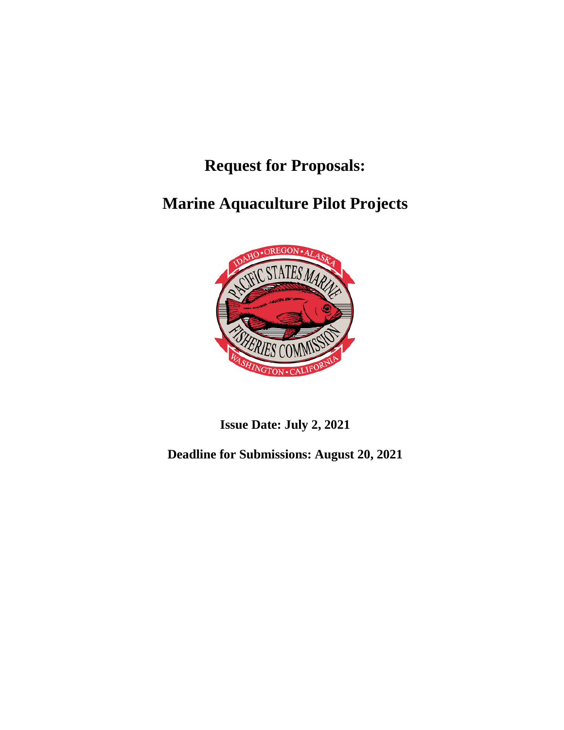**Request for Proposals:**

**Marine Aquaculture Pilot Projects**



**Issue Date: July 2, 2021**

**Deadline for Submissions: August 20, 2021**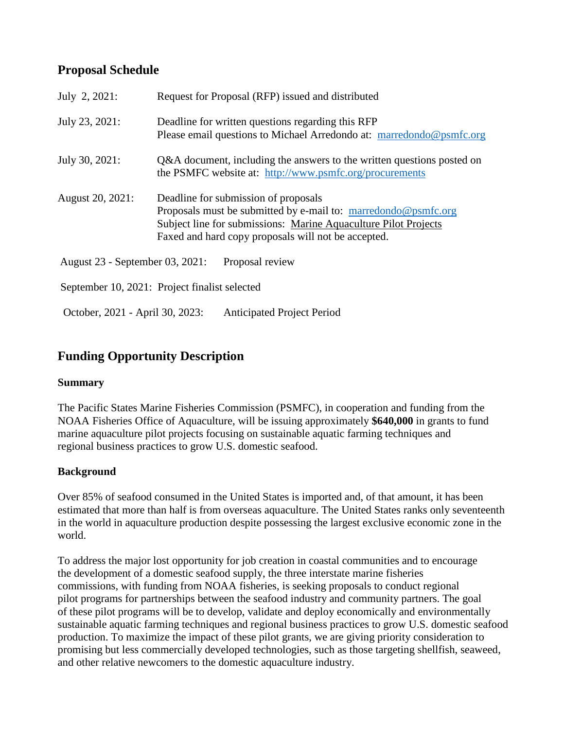# **Proposal Schedule**

| July 2, 2021:                   | Request for Proposal (RFP) issued and distributed                                                                                                                                                                                |
|---------------------------------|----------------------------------------------------------------------------------------------------------------------------------------------------------------------------------------------------------------------------------|
| July 23, 2021:                  | Deadline for written questions regarding this RFP<br>Please email questions to Michael Arredondo at: marredondo@psmfc.org                                                                                                        |
| July 30, 2021:                  | Q&A document, including the answers to the written questions posted on<br>the PSMFC website at: http://www.psmfc.org/procurements                                                                                                |
| August 20, 2021:                | Deadline for submission of proposals<br>Proposals must be submitted by e-mail to: marredondo@psmfc.org<br>Subject line for submissions: Marine Aquaculture Pilot Projects<br>Faxed and hard copy proposals will not be accepted. |
| August 23 - September 03, 2021: | Proposal review                                                                                                                                                                                                                  |
|                                 | September 10, 2021: Project finalist selected                                                                                                                                                                                    |
| October, 2021 - April 30, 2023: | <b>Anticipated Project Period</b>                                                                                                                                                                                                |

## **Funding Opportunity Description**

#### **Summary**

The Pacific States Marine Fisheries Commission (PSMFC), in cooperation and funding from the NOAA Fisheries Office of Aquaculture, will be issuing approximately **\$640,000** in grants to fund marine aquaculture pilot projects focusing on sustainable aquatic farming techniques and regional business practices to grow U.S. domestic seafood.

### **Background**

Over 85% of seafood consumed in the United States is imported and, of that amount, it has been estimated that more than half is from overseas aquaculture. The United States ranks only seventeenth in the world in aquaculture production despite possessing the largest exclusive economic zone in the world.

To address the major lost opportunity for job creation in coastal communities and to encourage the development of a domestic seafood supply, the three interstate marine fisheries commissions, with funding from NOAA fisheries, is seeking proposals to conduct regional pilot programs for partnerships between the seafood industry and community partners. The goal of these pilot programs will be to develop, validate and deploy economically and environmentally sustainable aquatic farming techniques and regional business practices to grow U.S. domestic seafood production. To maximize the impact of these pilot grants, we are giving priority consideration to promising but less commercially developed technologies, such as those targeting shellfish, seaweed, and other relative newcomers to the domestic aquaculture industry.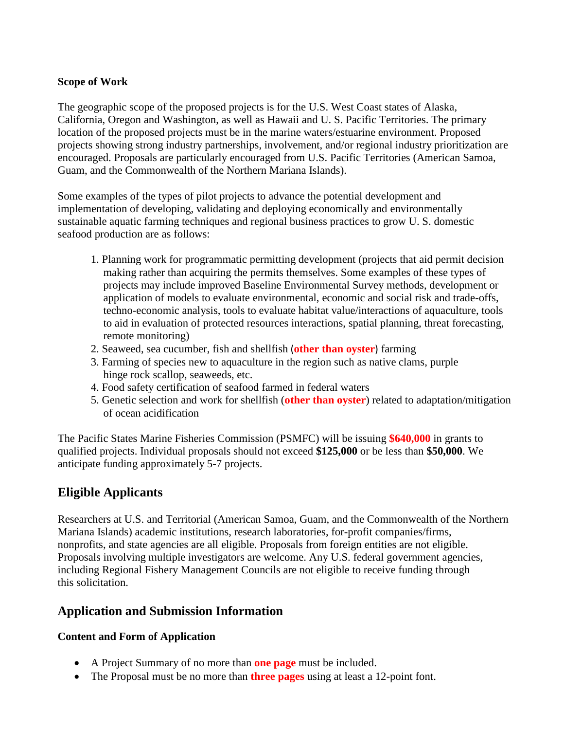#### **Scope of Work**

The geographic scope of the proposed projects is for the U.S. West Coast states of Alaska, California, Oregon and Washington, as well as Hawaii and U. S. Pacific Territories. The primary location of the proposed projects must be in the marine waters/estuarine environment. Proposed projects showing strong industry partnerships, involvement, and/or regional industry prioritization are encouraged. Proposals are particularly encouraged from U.S. Pacific Territories (American Samoa, Guam, and the Commonwealth of the Northern Mariana Islands).

Some examples of the types of pilot projects to advance the potential development and implementation of developing, validating and deploying economically and environmentally sustainable aquatic farming techniques and regional business practices to grow U. S. domestic seafood production are as follows:

- 1. Planning work for programmatic permitting development (projects that aid permit decision making rather than acquiring the permits themselves. Some examples of these types of projects may include improved Baseline Environmental Survey methods, development or application of models to evaluate environmental, economic and social risk and trade-offs, techno-economic analysis, tools to evaluate habitat value/interactions of aquaculture, tools to aid in evaluation of protected resources interactions, spatial planning, threat forecasting, remote monitoring)
- 2. Seaweed, sea cucumber, fish and shellfish (**other than oyster**) farming
- 3. Farming of species new to aquaculture in the region such as native clams, purple hinge rock scallop, seaweeds, etc.
- 4. Food safety certification of seafood farmed in federal waters
- 5. Genetic selection and work for shellfish (**other than oyster**) related to adaptation/mitigation of ocean acidification

The Pacific States Marine Fisheries Commission (PSMFC) will be issuing **\$640,000** in grants to qualified projects. Individual proposals should not exceed **\$125,000** or be less than **\$50,000**. We anticipate funding approximately 5-7 projects.

## **Eligible Applicants**

Researchers at U.S. and Territorial (American Samoa, Guam, and the Commonwealth of the Northern Mariana Islands) academic institutions, research laboratories, for-profit companies/firms, nonprofits, and state agencies are all eligible. Proposals from foreign entities are not eligible. Proposals involving multiple investigators are welcome. Any U.S. federal government agencies, including Regional Fishery Management Councils are not eligible to receive funding through this solicitation.

## **Application and Submission Information**

#### **Content and Form of Application**

- A Project Summary of no more than **one page** must be included.
- The Proposal must be no more than **three pages** using at least a 12-point font.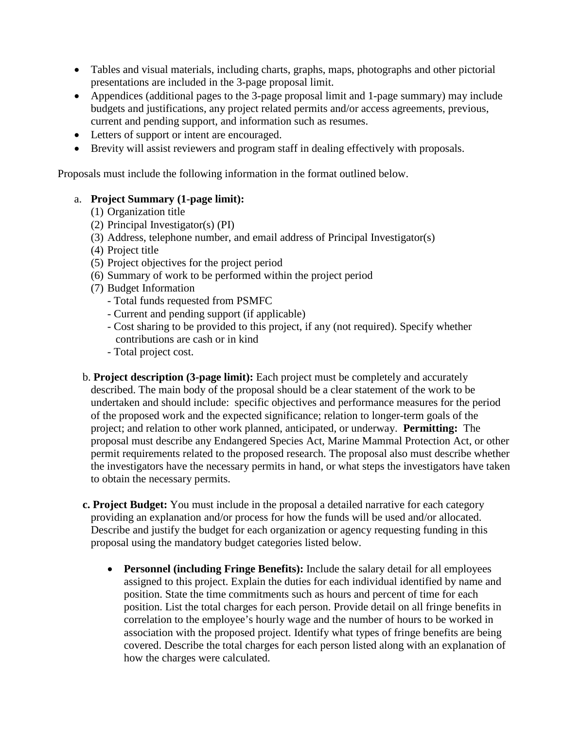- Tables and visual materials, including charts, graphs, maps, photographs and other pictorial presentations are included in the 3-page proposal limit.
- Appendices (additional pages to the 3-page proposal limit and 1-page summary) may include budgets and justifications, any project related permits and/or access agreements, previous, current and pending support, and information such as resumes.
- Letters of support or intent are encouraged.
- Brevity will assist reviewers and program staff in dealing effectively with proposals.

Proposals must include the following information in the format outlined below.

#### a. **Project Summary (1-page limit):**

- (1) Organization title
- (2) Principal Investigator(s) (PI)
- (3) Address, telephone number, and email address of Principal Investigator(s)
- (4) Project title
- (5) Project objectives for the project period
- (6) Summary of work to be performed within the project period
- (7) Budget Information
	- Total funds requested from PSMFC
	- Current and pending support (if applicable)
	- Cost sharing to be provided to this project, if any (not required). Specify whether contributions are cash or in kind
	- Total project cost.
- b. **Project description (3-page limit):** Each project must be completely and accurately described. The main body of the proposal should be a clear statement of the work to be undertaken and should include: specific objectives and performance measures for the period of the proposed work and the expected significance; relation to longer-term goals of the project; and relation to other work planned, anticipated, or underway. **Permitting:** The proposal must describe any Endangered Species Act, Marine Mammal Protection Act, or other permit requirements related to the proposed research. The proposal also must describe whether the investigators have the necessary permits in hand, or what steps the investigators have taken to obtain the necessary permits.
- **c. Project Budget:** You must include in the proposal a detailed narrative for each category providing an explanation and/or process for how the funds will be used and/or allocated. Describe and justify the budget for each organization or agency requesting funding in this proposal using the mandatory budget categories listed below.
	- **Personnel (including Fringe Benefits):** Include the salary detail for all employees assigned to this project. Explain the duties for each individual identified by name and position. State the time commitments such as hours and percent of time for each position. List the total charges for each person. Provide detail on all fringe benefits in correlation to the employee's hourly wage and the number of hours to be worked in association with the proposed project. Identify what types of fringe benefits are being covered. Describe the total charges for each person listed along with an explanation of how the charges were calculated.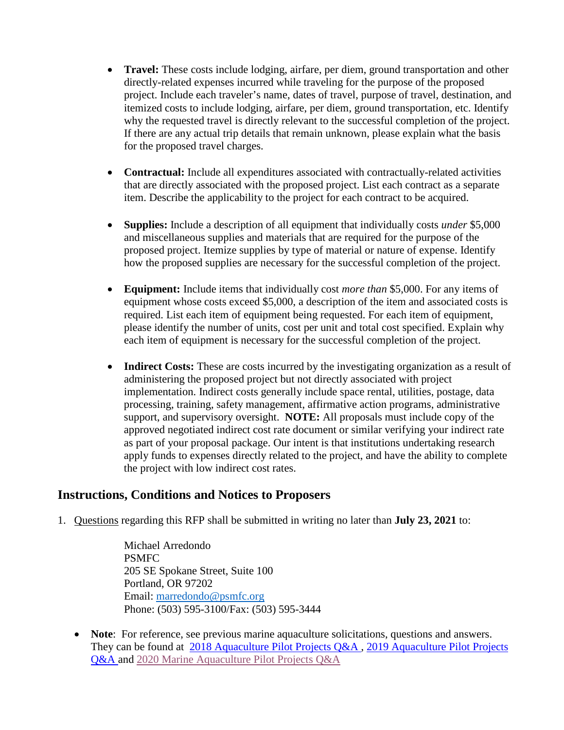- **Travel:** These costs include lodging, airfare, per diem, ground transportation and other directly-related expenses incurred while traveling for the purpose of the proposed project. Include each traveler's name, dates of travel, purpose of travel, destination, and itemized costs to include lodging, airfare, per diem, ground transportation, etc. Identify why the requested travel is directly relevant to the successful completion of the project. If there are any actual trip details that remain unknown, please explain what the basis for the proposed travel charges.
- **Contractual:** Include all expenditures associated with contractually-related activities that are directly associated with the proposed project. List each contract as a separate item. Describe the applicability to the project for each contract to be acquired.
- **Supplies:** Include a description of all equipment that individually costs *under* \$5,000 and miscellaneous supplies and materials that are required for the purpose of the proposed project. Itemize supplies by type of material or nature of expense. Identify how the proposed supplies are necessary for the successful completion of the project.
- **Equipment:** Include items that individually cost *more than* \$5,000. For any items of equipment whose costs exceed \$5,000, a description of the item and associated costs is required. List each item of equipment being requested. For each item of equipment, please identify the number of units, cost per unit and total cost specified. Explain why each item of equipment is necessary for the successful completion of the project.
- **Indirect Costs:** These are costs incurred by the investigating organization as a result of administering the proposed project but not directly associated with project implementation. Indirect costs generally include space rental, utilities, postage, data processing, training, safety management, affirmative action programs, administrative support, and supervisory oversight. **NOTE:** All proposals must include copy of the approved negotiated indirect cost rate document or similar verifying your indirect rate as part of your proposal package. Our intent is that institutions undertaking research apply funds to expenses directly related to the project, and have the ability to complete the project with low indirect cost rates.

### **Instructions, Conditions and Notices to Proposers**

1. Questions regarding this RFP shall be submitted in writing no later than **July 23, 2021** to:

Michael Arredondo PSMFC 205 SE Spokane Street, Suite 100 Portland, OR 97202 Email: [marredondo@psmfc.org](mailto:marredondo@psmfc.org) Phone: (503) 595-3100/Fax: (503) 595-3444

• **Note**: For reference, see previous marine aquaculture solicitations, questions and answers. They can be found at [2018 Aquaculture Pilot Projects Q&A](http://www.psmfc.org/wp-content/uploads/2017/12/Aquaculture-Pilot-Projects-QA-Final-1-12-18-corrected.pdf) , [2019 Aquaculture Pilot Projects](http://www.psmfc.org/wp-content/uploads/2019/02/PSMFC-Aquaculture-RFP-QA-3-29-19.pdf)  [Q&A](http://www.psmfc.org/wp-content/uploads/2019/02/PSMFC-Aquaculture-RFP-QA-3-29-19.pdf) and [2020 Marine Aquaculture Pilot Projects Q&A](http://www.psmfc.org/wp-content/uploads/2020/10/2020-PSMFC-Aquaculture-RFP-QA-Final-1.pdf)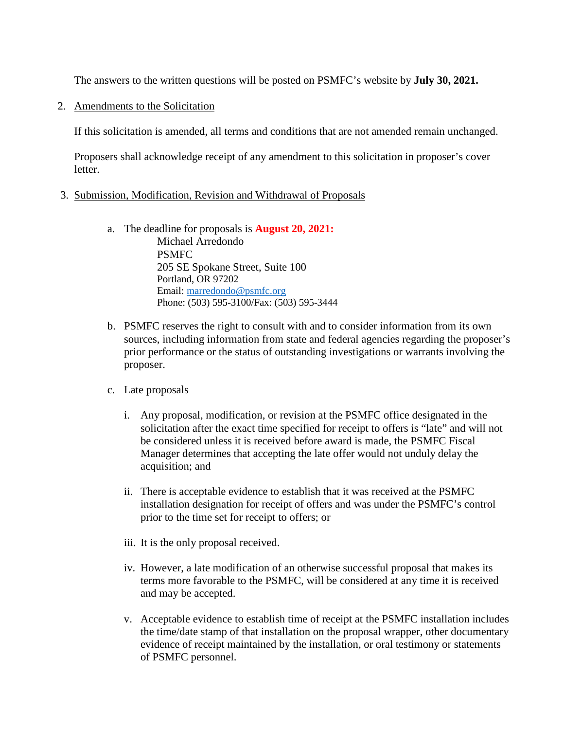The answers to the written questions will be posted on PSMFC's website by **July 30, 2021.**

2. Amendments to the Solicitation

If this solicitation is amended, all terms and conditions that are not amended remain unchanged.

Proposers shall acknowledge receipt of any amendment to this solicitation in proposer's cover letter.

- 3. Submission, Modification, Revision and Withdrawal of Proposals
	- a. The deadline for proposals is **August 20, 2021:** Michael Arredondo PSMFC 205 SE Spokane Street, Suite 100 Portland, OR 97202 Email: [marredondo@psmfc.org](mailto:marredondo@psmfc.org) Phone: (503) 595-3100/Fax: (503) 595-3444
	- b. PSMFC reserves the right to consult with and to consider information from its own sources, including information from state and federal agencies regarding the proposer's prior performance or the status of outstanding investigations or warrants involving the proposer.
	- c. Late proposals
		- i. Any proposal, modification, or revision at the PSMFC office designated in the solicitation after the exact time specified for receipt to offers is "late" and will not be considered unless it is received before award is made, the PSMFC Fiscal Manager determines that accepting the late offer would not unduly delay the acquisition; and
		- ii. There is acceptable evidence to establish that it was received at the PSMFC installation designation for receipt of offers and was under the PSMFC's control prior to the time set for receipt to offers; or
		- iii. It is the only proposal received.
		- iv. However, a late modification of an otherwise successful proposal that makes its terms more favorable to the PSMFC, will be considered at any time it is received and may be accepted.
		- v. Acceptable evidence to establish time of receipt at the PSMFC installation includes the time/date stamp of that installation on the proposal wrapper, other documentary evidence of receipt maintained by the installation, or oral testimony or statements of PSMFC personnel.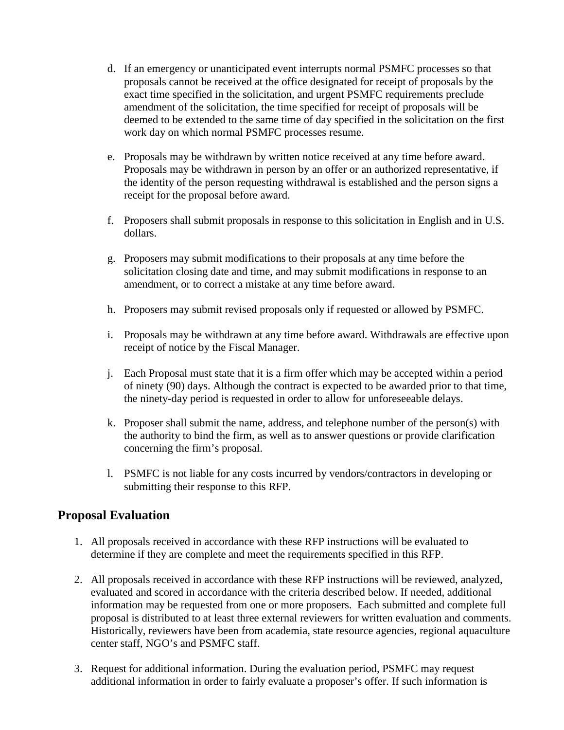- d. If an emergency or unanticipated event interrupts normal PSMFC processes so that proposals cannot be received at the office designated for receipt of proposals by the exact time specified in the solicitation, and urgent PSMFC requirements preclude amendment of the solicitation, the time specified for receipt of proposals will be deemed to be extended to the same time of day specified in the solicitation on the first work day on which normal PSMFC processes resume.
- e. Proposals may be withdrawn by written notice received at any time before award. Proposals may be withdrawn in person by an offer or an authorized representative, if the identity of the person requesting withdrawal is established and the person signs a receipt for the proposal before award.
- f. Proposers shall submit proposals in response to this solicitation in English and in U.S. dollars.
- g. Proposers may submit modifications to their proposals at any time before the solicitation closing date and time, and may submit modifications in response to an amendment, or to correct a mistake at any time before award.
- h. Proposers may submit revised proposals only if requested or allowed by PSMFC.
- i. Proposals may be withdrawn at any time before award. Withdrawals are effective upon receipt of notice by the Fiscal Manager.
- j. Each Proposal must state that it is a firm offer which may be accepted within a period of ninety (90) days. Although the contract is expected to be awarded prior to that time, the ninety-day period is requested in order to allow for unforeseeable delays.
- k. Proposer shall submit the name, address, and telephone number of the person(s) with the authority to bind the firm, as well as to answer questions or provide clarification concerning the firm's proposal.
- l. PSMFC is not liable for any costs incurred by vendors/contractors in developing or submitting their response to this RFP.

### **Proposal Evaluation**

- 1. All proposals received in accordance with these RFP instructions will be evaluated to determine if they are complete and meet the requirements specified in this RFP.
- 2. All proposals received in accordance with these RFP instructions will be reviewed, analyzed, evaluated and scored in accordance with the criteria described below. If needed, additional information may be requested from one or more proposers. Each submitted and complete full proposal is distributed to at least three external reviewers for written evaluation and comments. Historically, reviewers have been from academia, state resource agencies, regional aquaculture center staff, NGO's and PSMFC staff.
- 3. Request for additional information. During the evaluation period, PSMFC may request additional information in order to fairly evaluate a proposer's offer. If such information is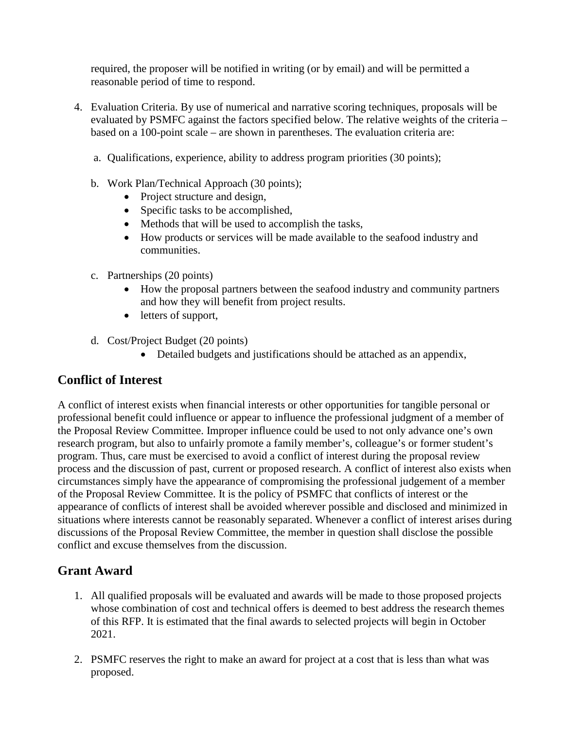required, the proposer will be notified in writing (or by email) and will be permitted a reasonable period of time to respond.

- 4. Evaluation Criteria. By use of numerical and narrative scoring techniques, proposals will be evaluated by PSMFC against the factors specified below. The relative weights of the criteria – based on a 100-point scale – are shown in parentheses. The evaluation criteria are:
	- a. Qualifications, experience, ability to address program priorities (30 points);
	- b. Work Plan/Technical Approach (30 points);
		- Project structure and design,
		- Specific tasks to be accomplished,
		- Methods that will be used to accomplish the tasks,
		- How products or services will be made available to the seafood industry and communities.
	- c. Partnerships (20 points)
		- How the proposal partners between the seafood industry and community partners and how they will benefit from project results.
		- letters of support,
	- d. Cost/Project Budget (20 points)
		- Detailed budgets and justifications should be attached as an appendix,

# **Conflict of Interest**

A conflict of interest exists when financial interests or other opportunities for tangible personal or professional benefit could influence or appear to influence the professional judgment of a member of the Proposal Review Committee. Improper influence could be used to not only advance one's own research program, but also to unfairly promote a family member's, colleague's or former student's program. Thus, care must be exercised to avoid a conflict of interest during the proposal review process and the discussion of past, current or proposed research. A conflict of interest also exists when circumstances simply have the appearance of compromising the professional judgement of a member of the Proposal Review Committee. It is the policy of PSMFC that conflicts of interest or the appearance of conflicts of interest shall be avoided wherever possible and disclosed and minimized in situations where interests cannot be reasonably separated. Whenever a conflict of interest arises during discussions of the Proposal Review Committee, the member in question shall disclose the possible conflict and excuse themselves from the discussion.

# **Grant Award**

- 1. All qualified proposals will be evaluated and awards will be made to those proposed projects whose combination of cost and technical offers is deemed to best address the research themes of this RFP. It is estimated that the final awards to selected projects will begin in October 2021.
- 2. PSMFC reserves the right to make an award for project at a cost that is less than what was proposed.